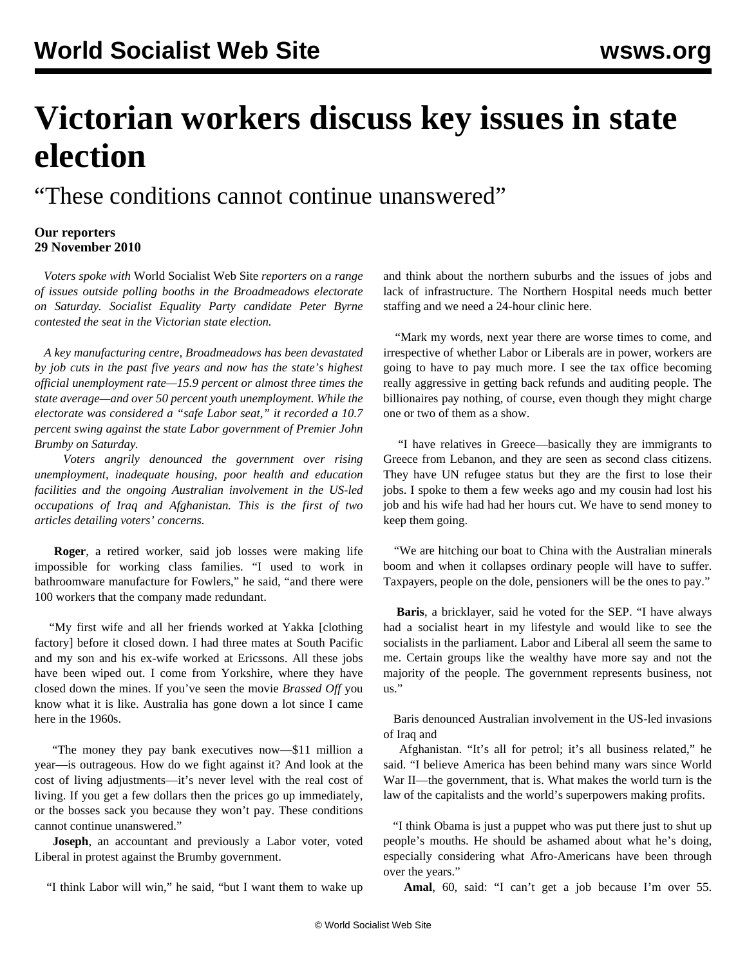## **Victorian workers discuss key issues in state election**

"These conditions cannot continue unanswered"

## **Our reporters 29 November 2010**

 *Voters spoke with* World Socialist Web Site *reporters on a range of issues outside polling booths in the Broadmeadows electorate on Saturday. Socialist Equality Party candidate Peter Byrne contested the seat in the Victorian state election.* 

 *A key manufacturing centre, Broadmeadows has been devastated by job cuts in the past five years and now has the state's highest official unemployment rate—15.9 percent or almost three times the state average—and over 50 percent youth unemployment. While the electorate was considered a "safe Labor seat," it recorded a 10.7 percent swing against the state Labor government of Premier John Brumby on Saturday.* 

 *Voters angrily denounced the government over rising unemployment, inadequate housing, poor health and education facilities and the ongoing Australian involvement in the US-led occupations of Iraq and Afghanistan. This is the first of two articles detailing voters' concerns.*

 **Roger**, a retired worker, said job losses were making life impossible for working class families. "I used to work in bathroomware manufacture for Fowlers," he said, "and there were 100 workers that the company made redundant.

 "My first wife and all her friends worked at Yakka [clothing factory] before it closed down. I had three mates at South Pacific and my son and his ex-wife worked at Ericssons. All these jobs have been wiped out. I come from Yorkshire, where they have closed down the mines. If you've seen the movie *Brassed Off* you know what it is like. Australia has gone down a lot since I came here in the 1960s.

 "The money they pay bank executives now—\$11 million a year—is outrageous. How do we fight against it? And look at the cost of living adjustments—it's never level with the real cost of living. If you get a few dollars then the prices go up immediately, or the bosses sack you because they won't pay. These conditions cannot continue unanswered."

 **Joseph**, an accountant and previously a Labor voter, voted Liberal in protest against the Brumby government.

"I think Labor will win," he said, "but I want them to wake up

and think about the northern suburbs and the issues of jobs and lack of infrastructure. The Northern Hospital needs much better staffing and we need a 24-hour clinic here.

 "Mark my words, next year there are worse times to come, and irrespective of whether Labor or Liberals are in power, workers are going to have to pay much more. I see the tax office becoming really aggressive in getting back refunds and auditing people. The billionaires pay nothing, of course, even though they might charge one or two of them as a show.

 "I have relatives in Greece—basically they are immigrants to Greece from Lebanon, and they are seen as second class citizens. They have UN refugee status but they are the first to lose their jobs. I spoke to them a few weeks ago and my cousin had lost his job and his wife had had her hours cut. We have to send money to keep them going.

 "We are hitching our boat to China with the Australian minerals boom and when it collapses ordinary people will have to suffer. Taxpayers, people on the dole, pensioners will be the ones to pay."

 **Baris**, a bricklayer, said he voted for the SEP. "I have always had a socialist heart in my lifestyle and would like to see the socialists in the parliament. Labor and Liberal all seem the same to me. Certain groups like the wealthy have more say and not the majority of the people. The government represents business, not  $\overline{\mathbf{u}}$ .

 Baris denounced Australian involvement in the US-led invasions of Iraq and

 Afghanistan. "It's all for petrol; it's all business related," he said. "I believe America has been behind many wars since World War II—the government, that is. What makes the world turn is the law of the capitalists and the world's superpowers making profits.

 "I think Obama is just a puppet who was put there just to shut up people's mouths. He should be ashamed about what he's doing, especially considering what Afro-Americans have been through over the years."

**Amal**, 60, said: "I can't get a job because I'm over 55.